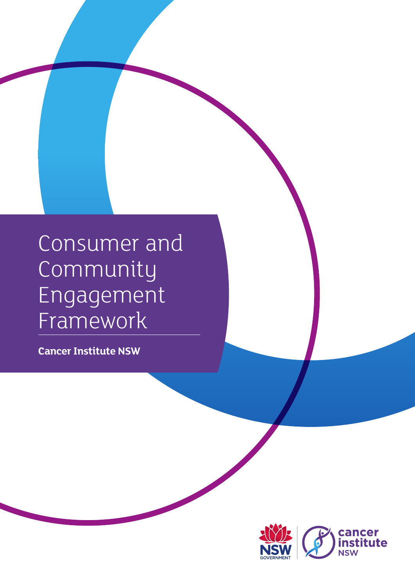## Consumer and Community Engagement Framework

**Cancer Institute NSW**

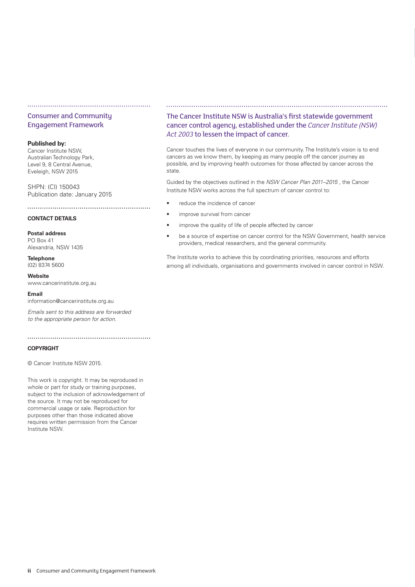#### Consumer and Community Engagement Framework

#### **Published by:**

Cancer Institute NSW, Australian Technology Park, Level 9, 8 Central Avenue, Eveleigh, NSW 2015

SHPN: (CI) 150043 Publication date: January 2015

#### **CONTACT DETAILS**

**Postal address** PO Box 41 Alexandria, NSW 1435

**Telephone** (02) 8374 5600

**Website** www.cancerinstitute.org.au

**Email**

information@cancerinstitute.org.au

*Emails sent to this address are forwarded to the appropriate person for action.*

## **COPYRIGHT**

© Cancer Institute NSW 2015.

This work is copyright. It may be reproduced in whole or part for study or training purposes, subject to the inclusion of acknowledgement of the source. It may not be reproduced for commercial usage or sale. Reproduction for purposes other than those indicated above requires written permission from the Cancer Institute NSW.

#### The Cancer Institute NSW is Australia's first statewide government cancer control agency, established under the *Cancer Institute (NSW) Act 2003* to lessen the impact of cancer.

Cancer touches the lives of everyone in our community. The Institute's vision is to end cancers as we know them, by keeping as many people off the cancer journey as possible, and by improving health outcomes for those affected by cancer across the state.

Guided by the objectives outlined in the *NSW Cancer Plan 2011–2015* , the Cancer Institute NSW works across the full spectrum of cancer control to:

- reduce the incidence of cancer
- improve survival from cancer
- improve the quality of life of people affected by cancer
- be a source of expertise on cancer control for the NSW Government, health service providers, medical researchers, and the general community.

The Institute works to achieve this by coordinating priorities, resources and efforts among all individuals, organisations and governments involved in cancer control in NSW.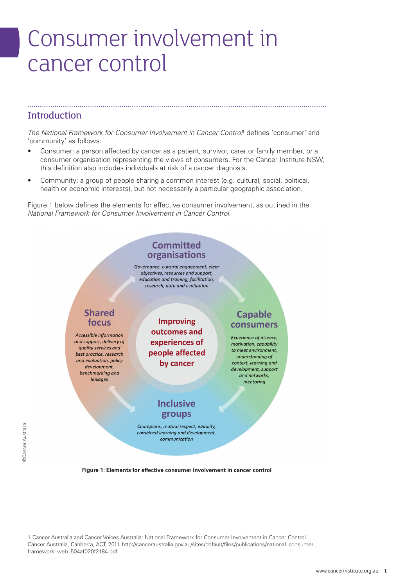## Consumer involvement in cancer control

### **Introduction**

The National Framework for Consumer Involvement in Cancer Control<sup>1</sup> defines 'consumer' and 'community' as follows:

- Consumer: a person affected by cancer as a patient, survivor, carer or family member, or a consumer organisation representing the views of consumers. For the Cancer Institute NSW, this definition also includes individuals at risk of a cancer diagnosis.
- Community: a group of people sharing a common interest (e.g. cultural, social, political, health or economic interests), but not necessarily a particular geographic association.

Figure 1 below defines the elements for effective consumer involvement, as outlined in the *National Framework for Consumer Involvement in Cancer Control.*



**Figure 1: Elements for effective consumer involvement in cancer control**

1.Cancer Australia and Cancer Voices Australia: National Framework for Consumer Involvement in Cancer Control. Cancer Australia, Canberra, ACT, 2011. [http://canceraustralia.gov.au/sites/default/files/publications/national\\_consumer\\_](http://canceraustralia.gov.au/sites/default/files/publications/national_consumer_framework_web_504af020f2184.pdf) [framework\\_web\\_504af020f2184.pdf](http://canceraustralia.gov.au/sites/default/files/publications/national_consumer_framework_web_504af020f2184.pdf)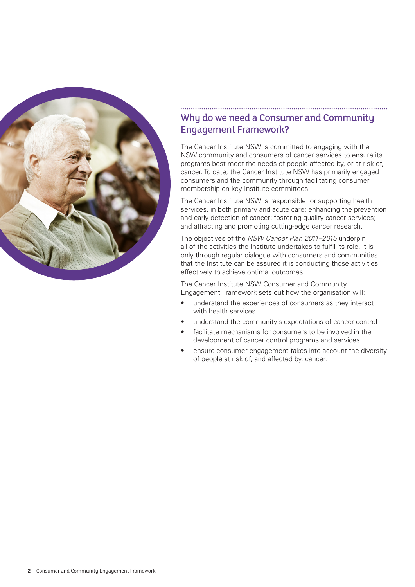

## Why do we need a Consumer and Community Engagement Framework?

The Cancer Institute NSW is committed to engaging with the NSW community and consumers of cancer services to ensure its programs best meet the needs of people affected by, or at risk of, cancer. To date, the Cancer Institute NSW has primarily engaged consumers and the community through facilitating consumer membership on key Institute committees.

The Cancer Institute NSW is responsible for supporting health services, in both primary and acute care; enhancing the prevention and early detection of cancer; fostering quality cancer services; and attracting and promoting cutting-edge cancer research.

The objectives of the *NSW Cancer Plan 2011–2015* underpin all of the activities the Institute undertakes to fulfil its role. It is only through regular dialogue with consumers and communities that the Institute can be assured it is conducting those activities effectively to achieve optimal outcomes.

The Cancer Institute NSW Consumer and Community Engagement Framework sets out how the organisation will:

- understand the experiences of consumers as they interact with health services
- understand the community's expectations of cancer control
- facilitate mechanisms for consumers to be involved in the development of cancer control programs and services
- ensure consumer engagement takes into account the diversity of people at risk of, and affected by, cancer.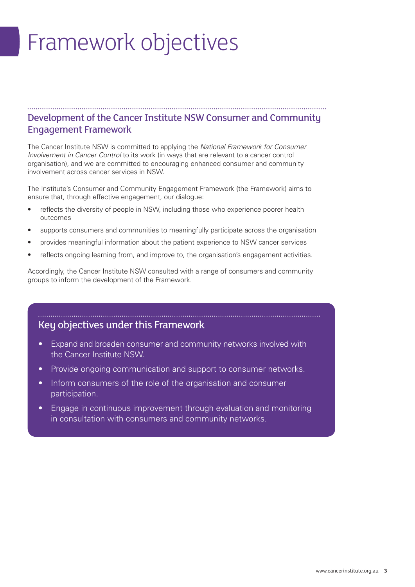# Framework objectives

## Development of the Cancer Institute NSW Consumer and Community Engagement Framework

The Cancer Institute NSW is committed to applying the *National Framework for Consumer Involvement in Cancer Control* to its work (in ways that are relevant to a cancer control organisation), and we are committed to encouraging enhanced consumer and community involvement across cancer services in NSW.

The Institute's Consumer and Community Engagement Framework (the Framework) aims to ensure that, through effective engagement, our dialogue:

- reflects the diversity of people in NSW, including those who experience poorer health outcomes
- supports consumers and communities to meaningfully participate across the organisation
- provides meaningful information about the patient experience to NSW cancer services
- reflects ongoing learning from, and improve to, the organisation's engagement activities.

Accordingly, the Cancer Institute NSW consulted with a range of consumers and community groups to inform the development of the Framework.

## Key objectives under this Framework

• Expand and broaden consumer and community networks involved with the Cancer Institute NSW.

- Provide ongoing communication and support to consumer networks.
- Inform consumers of the role of the organisation and consumer participation.
- Engage in continuous improvement through evaluation and monitoring in consultation with consumers and community networks.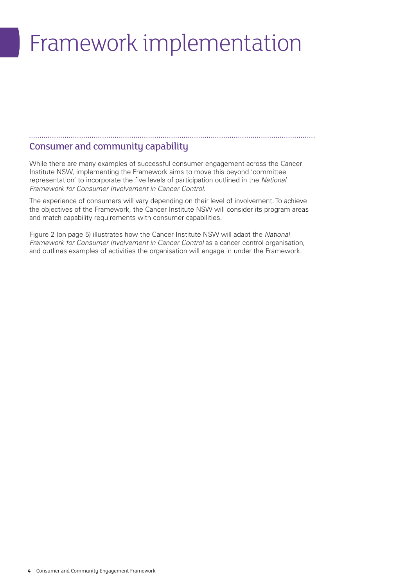# Framework implementation

### Consumer and community capability

While there are many examples of successful consumer engagement across the Cancer Institute NSW, implementing the Framework aims to move this beyond 'committee representation' to incorporate the five levels of participation outlined in the *National Framework for Consumer Involvement in Cancer Control*.

The experience of consumers will vary depending on their level of involvement. To achieve the objectives of the Framework, the Cancer Institute NSW will consider its program areas and match capability requirements with consumer capabilities.

Figure 2 (on page 5) illustrates how the Cancer Institute NSW will adapt the *National Framework for Consumer Involvement in Cancer Control* as a cancer control organisation, and outlines examples of activities the organisation will engage in under the Framework.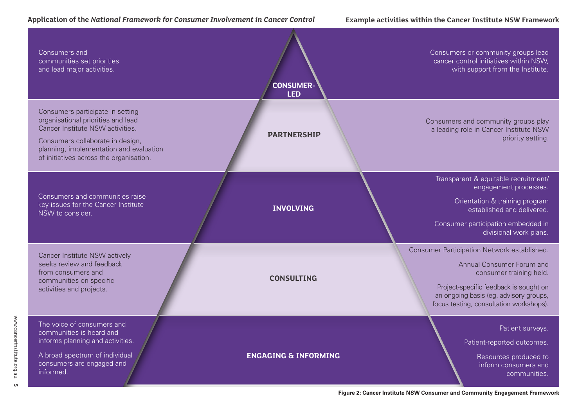#### **Application of the** *National Framework for Consumer Involvement in Cancer Control*

#### **Example activities within the Cancer Institute NSW Framework**